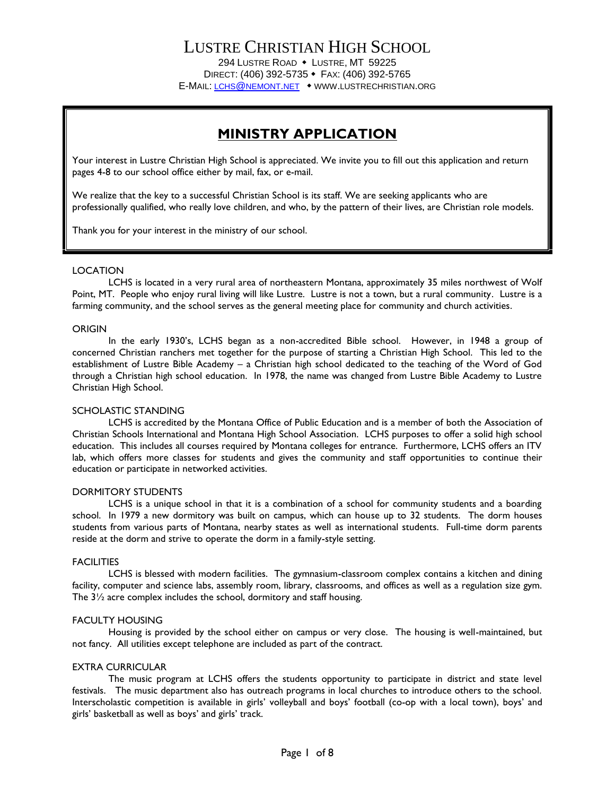## LUSTRE CHRISTIAN HIGH SCHOOL 294 LUSTRE ROAD • LUSTRE, MT 59225 DIRECT: (406) 392-5735 FAX: (406) 392-5765

E-MAIL: LCHS@NEMONT.NET WWW.LUSTRECHRISTIAN.ORG

## **MINISTRY APPLICATION**

Your interest in Lustre Christian High School is appreciated. We invite you to fill out this application and return pages 4-8 to our school office either by mail, fax, or e-mail.

We realize that the key to a successful Christian School is its staff. We are seeking applicants who are professionally qualified, who really love children, and who, by the pattern of their lives, are Christian role models.

Thank you for your interest in the ministry of our school.

### LOCATION

LCHS is located in a very rural area of northeastern Montana, approximately 35 miles northwest of Wolf Point, MT. People who enjoy rural living will like Lustre. Lustre is not a town, but a rural community. Lustre is a farming community, and the school serves as the general meeting place for community and church activities.

#### ORIGIN

In the early 1930's, LCHS began as a non-accredited Bible school. However, in 1948 a group of concerned Christian ranchers met together for the purpose of starting a Christian High School. This led to the establishment of Lustre Bible Academy – a Christian high school dedicated to the teaching of the Word of God through a Christian high school education. In 1978, the name was changed from Lustre Bible Academy to Lustre Christian High School.

### SCHOLASTIC STANDING

LCHS is accredited by the Montana Office of Public Education and is a member of both the Association of Christian Schools International and Montana High School Association. LCHS purposes to offer a solid high school education. This includes all courses required by Montana colleges for entrance. Furthermore, LCHS offers an ITV lab, which offers more classes for students and gives the community and staff opportunities to continue their education or participate in networked activities.

#### DORMITORY STUDENTS

LCHS is a unique school in that it is a combination of a school for community students and a boarding school. In 1979 a new dormitory was built on campus, which can house up to 32 students. The dorm houses students from various parts of Montana, nearby states as well as international students. Full-time dorm parents reside at the dorm and strive to operate the dorm in a family-style setting.

#### **FACILITIES**

LCHS is blessed with modern facilities. The gymnasium-classroom complex contains a kitchen and dining facility, computer and science labs, assembly room, library, classrooms, and offices as well as a regulation size gym. The 3½ acre complex includes the school, dormitory and staff housing.

### FACULTY HOUSING

Housing is provided by the school either on campus or very close. The housing is well-maintained, but not fancy. All utilities except telephone are included as part of the contract.

### EXTRA CURRICULAR

The music program at LCHS offers the students opportunity to participate in district and state level festivals. The music department also has outreach programs in local churches to introduce others to the school. Interscholastic competition is available in girls' volleyball and boys' football (co-op with a local town), boys' and girls' basketball as well as boys' and girls' track.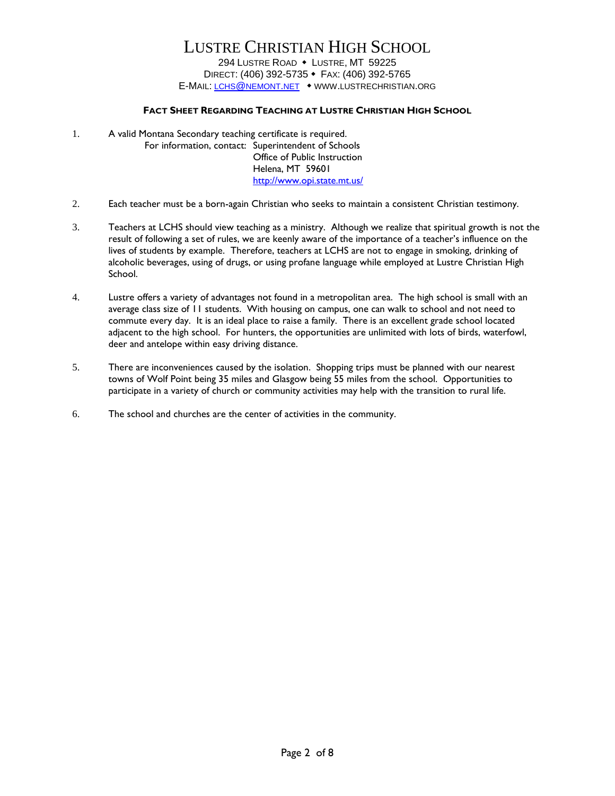### **FACT SHEET REGARDING TEACHING AT LUSTRE CHRISTIAN HIGH SCHOOL**

- 1. A valid Montana Secondary teaching certificate is required. For information, contact: Superintendent of Schools Office of Public Instruction Helena, MT 59601 <http://www.opi.state.mt.us/>
- 2. Each teacher must be a born-again Christian who seeks to maintain a consistent Christian testimony.
- 3. Teachers at LCHS should view teaching as a ministry. Although we realize that spiritual growth is not the result of following a set of rules, we are keenly aware of the importance of a teacher's influence on the lives of students by example. Therefore, teachers at LCHS are not to engage in smoking, drinking of alcoholic beverages, using of drugs, or using profane language while employed at Lustre Christian High School.
- 4. Lustre offers a variety of advantages not found in a metropolitan area. The high school is small with an average class size of 11 students. With housing on campus, one can walk to school and not need to commute every day. It is an ideal place to raise a family. There is an excellent grade school located adjacent to the high school. For hunters, the opportunities are unlimited with lots of birds, waterfowl, deer and antelope within easy driving distance.
- 5. There are inconveniences caused by the isolation. Shopping trips must be planned with our nearest towns of Wolf Point being 35 miles and Glasgow being 55 miles from the school. Opportunities to participate in a variety of church or community activities may help with the transition to rural life.
- 6. The school and churches are the center of activities in the community.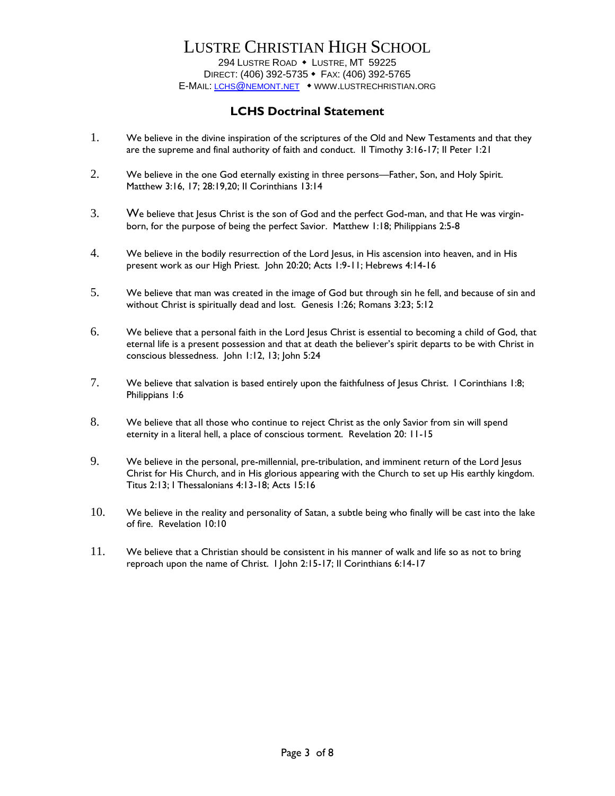## LUSTRE CHRISTIAN HIGH SCHOOL

294 LUSTRE ROAD • LUSTRE, MT 59225 DIRECT: (406) 392-5735 FAX: (406) 392-5765 E-MAIL: LCHS@NEMONT.NET WWW.LUSTRECHRISTIAN.ORG

### **LCHS Doctrinal Statement**

- 1. We believe in the divine inspiration of the scriptures of the Old and New Testaments and that they are the supreme and final authority of faith and conduct. II Timothy 3:16-17; II Peter 1:21
- 2. We believe in the one God eternally existing in three persons—Father, Son, and Holy Spirit. Matthew 3:16, 17; 28:19,20; II Corinthians 13:14
- 3. We believe that Jesus Christ is the son of God and the perfect God-man, and that He was virginborn, for the purpose of being the perfect Savior. Matthew 1:18; Philippians 2:5-8
- 4. We believe in the bodily resurrection of the Lord Jesus, in His ascension into heaven, and in His present work as our High Priest. John 20:20; Acts 1:9-11; Hebrews 4:14-16
- 5. We believe that man was created in the image of God but through sin he fell, and because of sin and without Christ is spiritually dead and lost. Genesis 1:26; Romans 3:23; 5:12
- 6. We believe that a personal faith in the Lord Jesus Christ is essential to becoming a child of God, that eternal life is a present possession and that at death the believer's spirit departs to be with Christ in conscious blessedness. John 1:12, 13; John 5:24
- 7. We believe that salvation is based entirely upon the faithfulness of Jesus Christ. I Corinthians 1:8; Philippians 1:6
- 8. We believe that all those who continue to reject Christ as the only Savior from sin will spend eternity in a literal hell, a place of conscious torment. Revelation 20: 11-15
- 9. We believe in the personal, pre-millennial, pre-tribulation, and imminent return of the Lord Jesus Christ for His Church, and in His glorious appearing with the Church to set up His earthly kingdom. Titus 2:13; I Thessalonians 4:13-18; Acts 15:16
- 10. We believe in the reality and personality of Satan, a subtle being who finally will be cast into the lake of fire. Revelation 10:10
- 11. We believe that a Christian should be consistent in his manner of walk and life so as not to bring reproach upon the name of Christ. I John 2:15-17; II Corinthians 6:14-17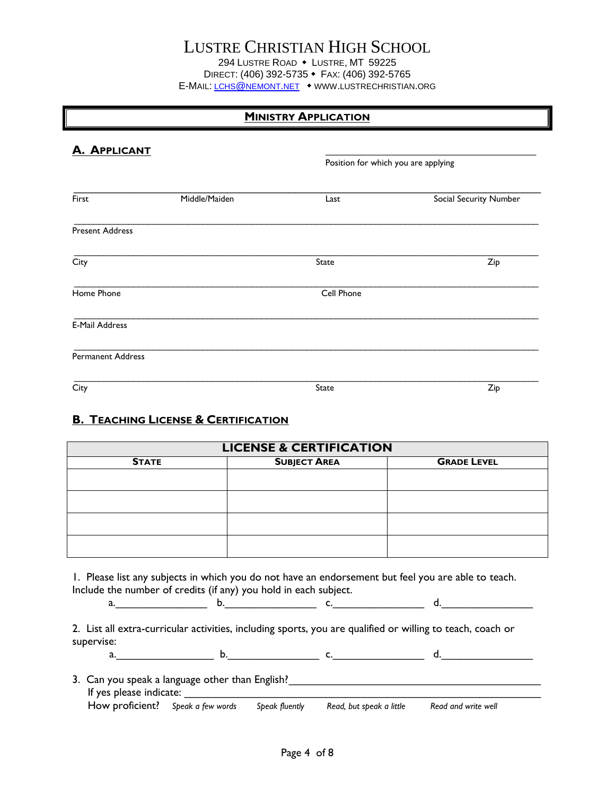## LUSTRE CHRISTIAN HIGH SCHOOL

294 LUSTRE ROAD • LUSTRE, MT 59225 DIRECT: (406) 392-5735 • FAX: (406) 392-5765 E-MAIL: LCHS@NEMONT.NET • WWW.LUSTRECHRISTIAN.ORG

## **MINISTRY APPLICATION**

| <b>A. APPLICANT</b>      |               |                                     |                        |  |  |
|--------------------------|---------------|-------------------------------------|------------------------|--|--|
|                          |               | Position for which you are applying |                        |  |  |
| First                    | Middle/Maiden | Last                                | Social Security Number |  |  |
| <b>Present Address</b>   |               |                                     |                        |  |  |
| City                     |               | State                               | Zip                    |  |  |
| Home Phone               |               | Cell Phone                          |                        |  |  |
| <b>E-Mail Address</b>    |               |                                     |                        |  |  |
| <b>Permanent Address</b> |               |                                     |                        |  |  |
| City                     |               | State                               | Zip                    |  |  |

## **B. TEACHING LICENSE & CERTIFICATION**

| <b>LICENSE &amp; CERTIFICATION</b> |                     |                    |  |  |  |  |
|------------------------------------|---------------------|--------------------|--|--|--|--|
| <b>STATE</b>                       | <b>SUBJECT AREA</b> | <b>GRADE LEVEL</b> |  |  |  |  |
|                                    |                     |                    |  |  |  |  |
|                                    |                     |                    |  |  |  |  |
|                                    |                     |                    |  |  |  |  |
|                                    |                     |                    |  |  |  |  |

1. Please list any subjects in which you do not have an endorsement but feel you are able to teach. Include the number of credits (if any) you hold in each subject.

2. List all extra-curricular activities, including sports, you are qualified or willing to teach, coach or supervise:

a.\_\_\_\_\_\_\_\_\_\_\_\_\_\_\_\_ b.\_\_\_\_\_\_\_\_\_\_\_\_\_\_\_ c.\_\_\_\_\_\_\_\_\_\_\_\_\_\_\_ d.\_\_\_\_\_\_\_\_\_\_\_\_\_\_\_

a. <u>b. C. C. And the set of density of the set of density of density of density of density of density of density of density of  $\sim$ </u>

| 3. Can you speak a language other than English? |  |                |                          |                     |  |  |  |
|-------------------------------------------------|--|----------------|--------------------------|---------------------|--|--|--|
| If yes please indicate:                         |  |                |                          |                     |  |  |  |
| How proficient? Speak a few words               |  | Speak fluently | Read, but speak a little | Read and write well |  |  |  |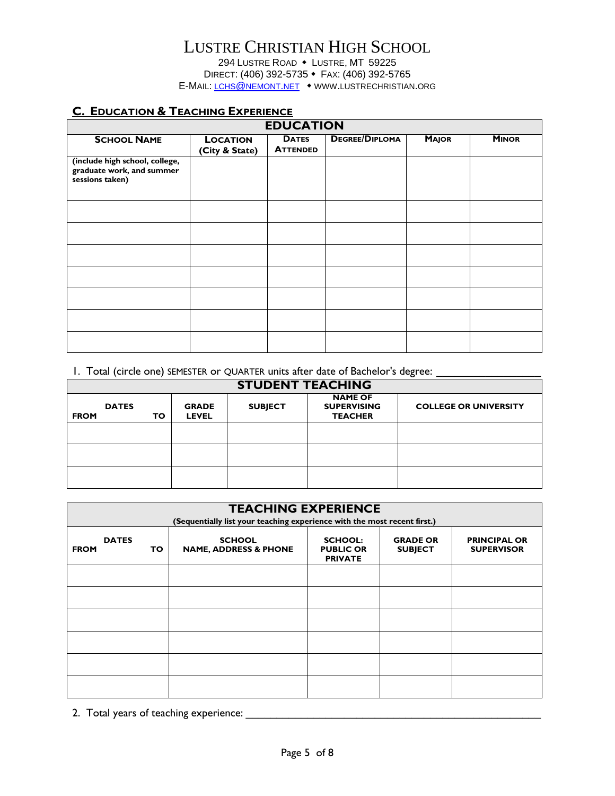294 LUSTRE ROAD • LUSTRE, MT 59225 DIRECT: (406) 392-5735 • FAX: (406) 392-5765 E-MAIL: LCHS@NEMONT.NET • WWW.LUSTRECHRISTIAN.ORG

## **C. EDUCATION & TEACHING EXPERIENCE**

| <b>EDUCATION</b>                                                               |                                   |                                 |                       |              |              |
|--------------------------------------------------------------------------------|-----------------------------------|---------------------------------|-----------------------|--------------|--------------|
| <b>SCHOOL NAME</b>                                                             | <b>LOCATION</b><br>(City & State) | <b>DATES</b><br><b>ATTENDED</b> | <b>DEGREE/DIPLOMA</b> | <b>MAJOR</b> | <b>MINOR</b> |
| (include high school, college,<br>graduate work, and summer<br>sessions taken) |                                   |                                 |                       |              |              |
|                                                                                |                                   |                                 |                       |              |              |
|                                                                                |                                   |                                 |                       |              |              |
|                                                                                |                                   |                                 |                       |              |              |
|                                                                                |                                   |                                 |                       |              |              |
|                                                                                |                                   |                                 |                       |              |              |
|                                                                                |                                   |                                 |                       |              |              |
|                                                                                |                                   |                                 |                       |              |              |

### 1. Total (circle one) SEMESTER or QUARTER units after date of Bachelor's degree:

| <b>STUDENT TEACHING</b>     |     |                              |                |                                                        |                              |  |  |
|-----------------------------|-----|------------------------------|----------------|--------------------------------------------------------|------------------------------|--|--|
| <b>DATES</b><br><b>FROM</b> | TO. | <b>GRADE</b><br><b>LEVEL</b> | <b>SUBJECT</b> | <b>NAME OF</b><br><b>SUPERVISING</b><br><b>TEACHER</b> | <b>COLLEGE OR UNIVERSITY</b> |  |  |
|                             |     |                              |                |                                                        |                              |  |  |
|                             |     |                              |                |                                                        |                              |  |  |
|                             |     |                              |                |                                                        |                              |  |  |

| <b>TEACHING EXPERIENCE</b><br>(Sequentially list your teaching experience with the most recent first.) |    |                                                   |                                                      |                                   |                                          |  |  |
|--------------------------------------------------------------------------------------------------------|----|---------------------------------------------------|------------------------------------------------------|-----------------------------------|------------------------------------------|--|--|
| <b>DATES</b><br><b>FROM</b>                                                                            | TO | <b>SCHOOL</b><br><b>NAME, ADDRESS &amp; PHONE</b> | <b>SCHOOL:</b><br><b>PUBLIC OR</b><br><b>PRIVATE</b> | <b>GRADE OR</b><br><b>SUBJECT</b> | <b>PRINCIPAL OR</b><br><b>SUPERVISOR</b> |  |  |
|                                                                                                        |    |                                                   |                                                      |                                   |                                          |  |  |
|                                                                                                        |    |                                                   |                                                      |                                   |                                          |  |  |
|                                                                                                        |    |                                                   |                                                      |                                   |                                          |  |  |
|                                                                                                        |    |                                                   |                                                      |                                   |                                          |  |  |
|                                                                                                        |    |                                                   |                                                      |                                   |                                          |  |  |
|                                                                                                        |    |                                                   |                                                      |                                   |                                          |  |  |

2. Total years of teaching experience: \_\_\_\_\_\_\_\_\_\_\_\_\_\_\_\_\_\_\_\_\_\_\_\_\_\_\_\_\_\_\_\_\_\_\_\_\_\_\_\_\_\_\_\_\_\_\_\_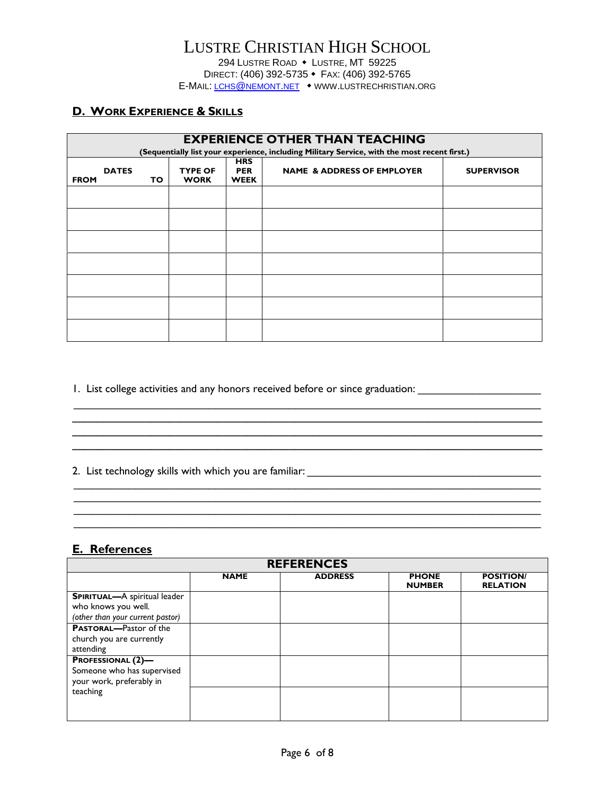## **D. WORK EXPERIENCE & SKILLS**

|             | <b>EXPERIENCE OTHER THAN TEACHING</b>                                                        |     |                               |                                         |                                       |                   |  |  |  |
|-------------|----------------------------------------------------------------------------------------------|-----|-------------------------------|-----------------------------------------|---------------------------------------|-------------------|--|--|--|
|             | (Sequentially list your experience, including Military Service, with the most recent first.) |     |                               |                                         |                                       |                   |  |  |  |
| <b>FROM</b> | <b>DATES</b>                                                                                 | TO. | <b>TYPE OF</b><br><b>WORK</b> | <b>HRS</b><br><b>PER</b><br><b>WEEK</b> | <b>NAME &amp; ADDRESS OF EMPLOYER</b> | <b>SUPERVISOR</b> |  |  |  |
|             |                                                                                              |     |                               |                                         |                                       |                   |  |  |  |
|             |                                                                                              |     |                               |                                         |                                       |                   |  |  |  |
|             |                                                                                              |     |                               |                                         |                                       |                   |  |  |  |
|             |                                                                                              |     |                               |                                         |                                       |                   |  |  |  |
|             |                                                                                              |     |                               |                                         |                                       |                   |  |  |  |
|             |                                                                                              |     |                               |                                         |                                       |                   |  |  |  |
|             |                                                                                              |     |                               |                                         |                                       |                   |  |  |  |

 $\_$  , and the contribution of the contribution of  $\mathcal{L}_\mathcal{A}$  , and the contribution of  $\mathcal{L}_\mathcal{A}$ 

**\_\_\_\_\_\_\_\_\_\_\_\_\_\_\_\_\_\_\_\_\_\_\_\_\_\_\_\_\_\_\_\_\_\_\_\_\_\_\_\_\_\_\_\_\_\_\_\_\_\_\_\_\_\_\_\_\_\_\_\_\_\_\_\_\_\_\_\_\_\_\_\_\_\_\_\_\_\_ \_\_\_\_\_\_\_\_\_\_\_\_\_\_\_\_\_\_\_\_\_\_\_\_\_\_\_\_\_\_\_\_\_\_\_\_\_\_\_\_\_\_\_\_\_\_\_\_\_\_\_\_\_\_\_\_\_\_\_\_\_\_\_\_\_\_\_\_\_\_\_\_\_\_\_\_\_\_**

 $\_$  , and the contribution of the contribution of  $\mathcal{L}_\mathcal{A}$  , and the contribution of  $\mathcal{L}_\mathcal{A}$ 

1. List college activities and any honors received before or since graduation: \_\_\_\_\_\_\_\_\_\_\_\_\_\_\_\_\_\_\_\_\_\_\_\_\_\_\_\_\_\_\_

2. List technology skills with which you are familiar: \_\_\_\_\_\_\_\_\_\_\_\_\_\_\_\_\_\_\_\_\_\_\_\_\_\_\_\_\_\_\_\_\_\_\_\_\_\_

### **E. References**

| <b>REFERENCES</b>                                                                              |             |                |                               |                                     |  |  |  |
|------------------------------------------------------------------------------------------------|-------------|----------------|-------------------------------|-------------------------------------|--|--|--|
|                                                                                                | <b>NAME</b> | <b>ADDRESS</b> | <b>PHONE</b><br><b>NUMBER</b> | <b>POSITION/</b><br><b>RELATION</b> |  |  |  |
| <b>SPIRITUAL-A</b> spiritual leader<br>who knows you well.<br>(other than your current pastor) |             |                |                               |                                     |  |  |  |
| <b>PASTORAL-Pastor of the</b><br>church you are currently<br>attending                         |             |                |                               |                                     |  |  |  |
| <b>PROFESSIONAL (2)-</b><br>Someone who has supervised<br>your work, preferably in             |             |                |                               |                                     |  |  |  |
| teaching                                                                                       |             |                |                               |                                     |  |  |  |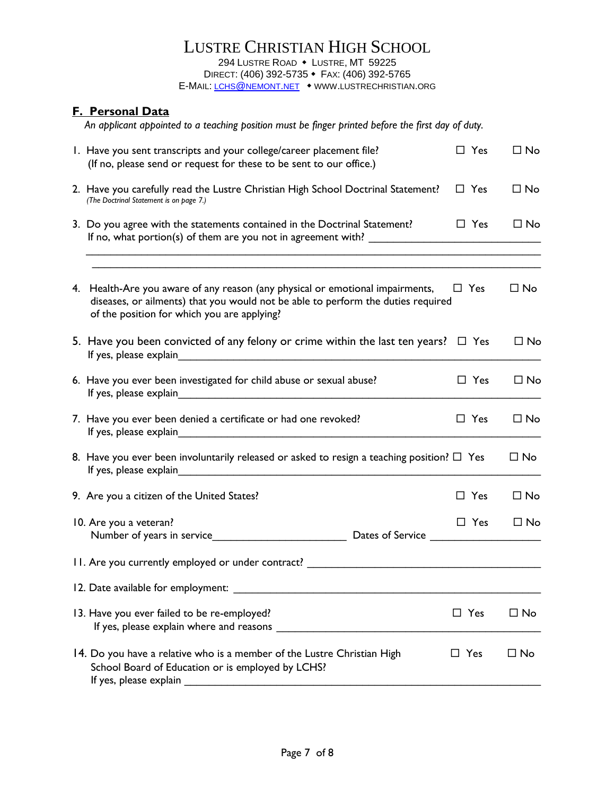## **F. Personal Data**

 *An applicant appointed to a teaching position must be finger printed before the first day of duty.*

| I. Have you sent transcripts and your college/career placement file?<br>(If no, please send or request for these to be sent to our office.)                                                                                                                                                                                       | $\Box$ Yes    | $\Box$ No    |
|-----------------------------------------------------------------------------------------------------------------------------------------------------------------------------------------------------------------------------------------------------------------------------------------------------------------------------------|---------------|--------------|
| 2. Have you carefully read the Lustre Christian High School Doctrinal Statement?<br>(The Doctrinal Statement is on page 7.)                                                                                                                                                                                                       | $\Box$ Yes    | $\square$ No |
| 3. Do you agree with the statements contained in the Doctrinal Statement?                                                                                                                                                                                                                                                         | $\Box$ Yes    | $\square$ No |
|                                                                                                                                                                                                                                                                                                                                   |               |              |
| 4. Health-Are you aware of any reason (any physical or emotional impairments,<br>diseases, or ailments) that you would not be able to perform the duties required<br>of the position for which you are applying?                                                                                                                  | $\Box$ Yes    | $\Box$ No    |
| 5. Have you been convicted of any felony or crime within the last ten years? $\Box$ Yes                                                                                                                                                                                                                                           |               | $\Box$ No    |
| 6. Have you ever been investigated for child abuse or sexual abuse?                                                                                                                                                                                                                                                               | $\Box$ Yes    | $\Box$ No    |
| 7. Have you ever been denied a certificate or had one revoked?                                                                                                                                                                                                                                                                    | $\Box$ Yes    | $\Box$ No    |
| 8. Have you ever been involuntarily released or asked to resign a teaching position? $\Box$ Yes<br>If yes, please explain example and the state of the state of the state of the state of the state of the state of the state of the state of the state of the state of the state of the state of the state of the state of the s |               | $\Box$ No    |
| 9. Are you a citizen of the United States?                                                                                                                                                                                                                                                                                        | $\Box$ Yes    | $\Box$ No    |
| 10. Are you a veteran?                                                                                                                                                                                                                                                                                                            | $\square$ Yes | $\Box$ No    |
| 11. Are you currently employed or under contract?                                                                                                                                                                                                                                                                                 |               |              |
| 12. Date available for employment:                                                                                                                                                                                                                                                                                                |               |              |
| 13. Have you ever failed to be re-employed?<br>If yes, please explain where and reasons                                                                                                                                                                                                                                           | $\Box$ Yes    | $\Box$ No    |
| 14. Do you have a relative who is a member of the Lustre Christian High<br>School Board of Education or is employed by LCHS?<br>If yes, please explain                                                                                                                                                                            | $\Box$ Yes    | $\square$ No |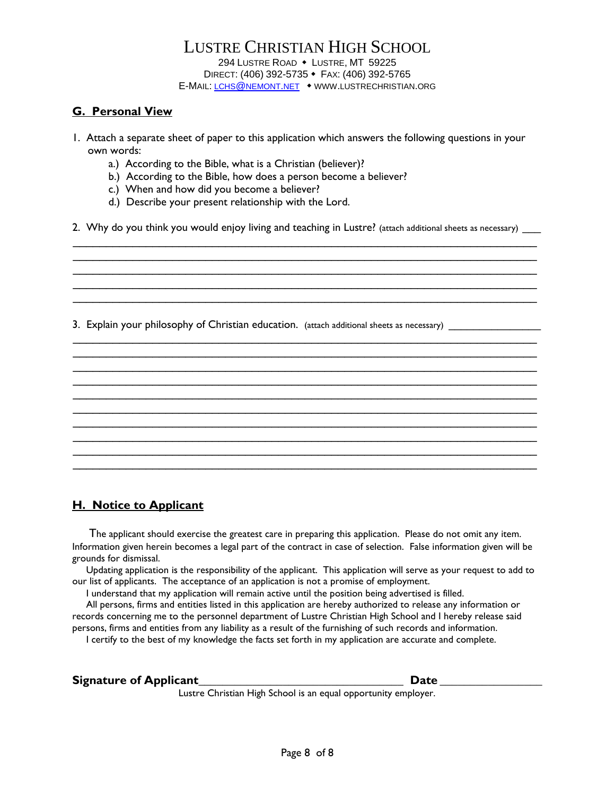### **G. Personal View**

- 1. Attach a separate sheet of paper to this application which answers the following questions in your own words:
	- a.) According to the Bible, what is a Christian (believer)?
	- b.) According to the Bible, how does a person become a believer?
	- c.) When and how did you become a believer?
	- d.) Describe your present relationship with the Lord.

2. Why do you think you would enjoy living and teaching in Lustre? (attach additional sheets as necessary)

\_\_\_\_\_\_\_\_\_\_\_\_\_\_\_\_\_\_\_\_\_\_\_\_\_\_\_\_\_\_\_\_\_\_\_\_\_\_\_\_\_\_\_\_\_\_\_\_\_\_\_\_\_\_\_\_\_\_\_\_\_\_\_\_\_\_\_\_\_\_  $\mathcal{L}_\mathcal{L} = \mathcal{L}_\mathcal{L} = \mathcal{L}_\mathcal{L} = \mathcal{L}_\mathcal{L} = \mathcal{L}_\mathcal{L} = \mathcal{L}_\mathcal{L} = \mathcal{L}_\mathcal{L} = \mathcal{L}_\mathcal{L} = \mathcal{L}_\mathcal{L} = \mathcal{L}_\mathcal{L} = \mathcal{L}_\mathcal{L} = \mathcal{L}_\mathcal{L} = \mathcal{L}_\mathcal{L} = \mathcal{L}_\mathcal{L} = \mathcal{L}_\mathcal{L} = \mathcal{L}_\mathcal{L} = \mathcal{L}_\mathcal{L}$ \_\_\_\_\_\_\_\_\_\_\_\_\_\_\_\_\_\_\_\_\_\_\_\_\_\_\_\_\_\_\_\_\_\_\_\_\_\_\_\_\_\_\_\_\_\_\_\_\_\_\_\_\_\_\_\_\_\_\_\_\_\_\_\_\_\_\_\_\_\_ \_\_\_\_\_\_\_\_\_\_\_\_\_\_\_\_\_\_\_\_\_\_\_\_\_\_\_\_\_\_\_\_\_\_\_\_\_\_\_\_\_\_\_\_\_\_\_\_\_\_\_\_\_\_\_\_\_\_\_\_\_\_\_\_\_\_\_\_\_\_ \_\_\_\_\_\_\_\_\_\_\_\_\_\_\_\_\_\_\_\_\_\_\_\_\_\_\_\_\_\_\_\_\_\_\_\_\_\_\_\_\_\_\_\_\_\_\_\_\_\_\_\_\_\_\_\_\_\_\_\_\_\_\_\_\_\_\_\_\_\_

\_\_\_\_\_\_\_\_\_\_\_\_\_\_\_\_\_\_\_\_\_\_\_\_\_\_\_\_\_\_\_\_\_\_\_\_\_\_\_\_\_\_\_\_\_\_\_\_\_\_\_\_\_\_\_\_\_\_\_\_\_\_\_\_\_\_\_\_\_\_ \_\_\_\_\_\_\_\_\_\_\_\_\_\_\_\_\_\_\_\_\_\_\_\_\_\_\_\_\_\_\_\_\_\_\_\_\_\_\_\_\_\_\_\_\_\_\_\_\_\_\_\_\_\_\_\_\_\_\_\_\_\_\_\_\_\_\_\_\_\_ \_\_\_\_\_\_\_\_\_\_\_\_\_\_\_\_\_\_\_\_\_\_\_\_\_\_\_\_\_\_\_\_\_\_\_\_\_\_\_\_\_\_\_\_\_\_\_\_\_\_\_\_\_\_\_\_\_\_\_\_\_\_\_\_\_\_\_\_\_\_ \_\_\_\_\_\_\_\_\_\_\_\_\_\_\_\_\_\_\_\_\_\_\_\_\_\_\_\_\_\_\_\_\_\_\_\_\_\_\_\_\_\_\_\_\_\_\_\_\_\_\_\_\_\_\_\_\_\_\_\_\_\_\_\_\_\_\_\_\_\_  $\mathcal{L}_\mathcal{L} = \mathcal{L}_\mathcal{L} = \mathcal{L}_\mathcal{L} = \mathcal{L}_\mathcal{L} = \mathcal{L}_\mathcal{L} = \mathcal{L}_\mathcal{L} = \mathcal{L}_\mathcal{L} = \mathcal{L}_\mathcal{L} = \mathcal{L}_\mathcal{L} = \mathcal{L}_\mathcal{L} = \mathcal{L}_\mathcal{L} = \mathcal{L}_\mathcal{L} = \mathcal{L}_\mathcal{L} = \mathcal{L}_\mathcal{L} = \mathcal{L}_\mathcal{L} = \mathcal{L}_\mathcal{L} = \mathcal{L}_\mathcal{L}$ \_\_\_\_\_\_\_\_\_\_\_\_\_\_\_\_\_\_\_\_\_\_\_\_\_\_\_\_\_\_\_\_\_\_\_\_\_\_\_\_\_\_\_\_\_\_\_\_\_\_\_\_\_\_\_\_\_\_\_\_\_\_\_\_\_\_\_\_\_\_ \_\_\_\_\_\_\_\_\_\_\_\_\_\_\_\_\_\_\_\_\_\_\_\_\_\_\_\_\_\_\_\_\_\_\_\_\_\_\_\_\_\_\_\_\_\_\_\_\_\_\_\_\_\_\_\_\_\_\_\_\_\_\_\_\_\_\_\_\_\_ \_\_\_\_\_\_\_\_\_\_\_\_\_\_\_\_\_\_\_\_\_\_\_\_\_\_\_\_\_\_\_\_\_\_\_\_\_\_\_\_\_\_\_\_\_\_\_\_\_\_\_\_\_\_\_\_\_\_\_\_\_\_\_\_\_\_\_\_\_\_

3. Explain your philosophy of Christian education. (attach additional sheets as necessary)

## **H. Notice to Applicant**

 The applicant should exercise the greatest care in preparing this application. Please do not omit any item. Information given herein becomes a legal part of the contract in case of selection. False information given will be grounds for dismissal.

\_\_\_\_\_\_\_\_\_\_\_\_\_\_\_\_\_\_\_\_\_\_\_\_\_\_\_\_\_\_\_\_\_\_\_\_\_\_\_\_\_\_\_\_\_\_\_\_\_\_\_\_\_\_\_\_\_\_\_\_\_\_\_\_\_\_\_\_\_\_

 Updating application is the responsibility of the applicant. This application will serve as your request to add to our list of applicants. The acceptance of an application is not a promise of employment.

I understand that my application will remain active until the position being advertised is filled.

 All persons, firms and entities listed in this application are hereby authorized to release any information or records concerning me to the personnel department of Lustre Christian High School and I hereby release said persons, firms and entities from any liability as a result of the furnishing of such records and information.

I certify to the best of my knowledge the facts set forth in my application are accurate and complete.

|  | <b>Signature of Applicant</b> |  |
|--|-------------------------------|--|
|--|-------------------------------|--|

**Signature of Applicant\_\_\_\_\_\_\_\_\_\_\_\_\_\_\_\_\_\_\_\_\_\_\_\_\_\_\_\_\_\_\_\_\_\_ Date \_\_\_\_\_\_\_\_\_\_\_\_\_\_\_\_\_**

Lustre Christian High School is an equal opportunity employer.